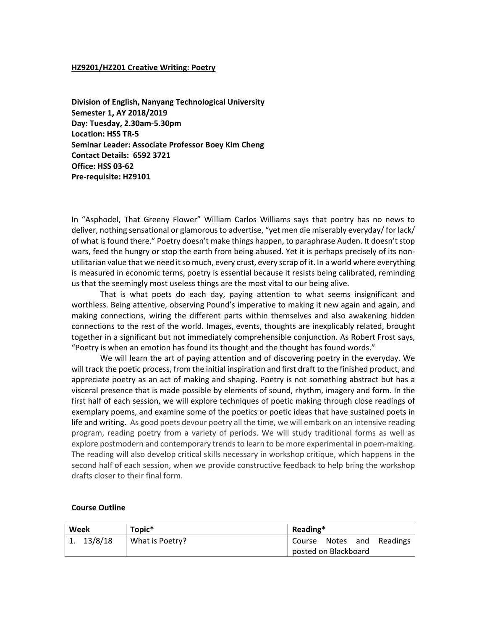#### **HZ9201/HZ201 Creative Writing: Poetry**

**Division of English, Nanyang Technological University Semester 1, AY 2018/2019 Day: Tuesday, 2.30am-5.30pm Location: HSS TR-5 Seminar Leader: Associate Professor Boey Kim Cheng Contact Details: 6592 3721 Office: HSS 03-62 Pre-requisite: HZ9101**

In "Asphodel, That Greeny Flower" William Carlos Williams says that poetry has no news to deliver, nothing sensational or glamorous to advertise, "yet men die miserably everyday/ for lack/ of what is found there." Poetry doesn't make things happen, to paraphrase Auden. It doesn't stop wars, feed the hungry or stop the earth from being abused. Yet it is perhaps precisely of its nonutilitarian value that we need it so much, every crust, every scrap of it. In a world where everything is measured in economic terms, poetry is essential because it resists being calibrated, reminding us that the seemingly most useless things are the most vital to our being alive.

That is what poets do each day, paying attention to what seems insignificant and worthless. Being attentive, observing Pound's imperative to making it new again and again, and making connections, wiring the different parts within themselves and also awakening hidden connections to the rest of the world. Images, events, thoughts are inexplicably related, brought together in a significant but not immediately comprehensible conjunction. As Robert Frost says, "Poetry is when an emotion has found its thought and the thought has found words."

We will learn the art of paying attention and of discovering poetry in the everyday. We will track the poetic process, from the initial inspiration and first draft to the finished product, and appreciate poetry as an act of making and shaping. Poetry is not something abstract but has a visceral presence that is made possible by elements of sound, rhythm, imagery and form. In the first half of each session, we will explore techniques of poetic making through close readings of exemplary poems, and examine some of the poetics or poetic ideas that have sustained poets in life and writing. As good poets devour poetry all the time, we will embark on an intensive reading program, reading poetry from a variety of periods. We will study traditional forms as well as explore postmodern and contemporary trends to learn to be more experimental in poem-making. The reading will also develop critical skills necessary in workshop critique, which happens in the second half of each session, when we provide constructive feedback to help bring the workshop drafts closer to their final form.

#### **Course Outline**

| Week    | Topic <sup>*</sup> | Reading*                  |  |
|---------|--------------------|---------------------------|--|
| 13/8/18 | What is Poetry?    | Course Notes and Readings |  |
|         |                    | posted on Blackboard      |  |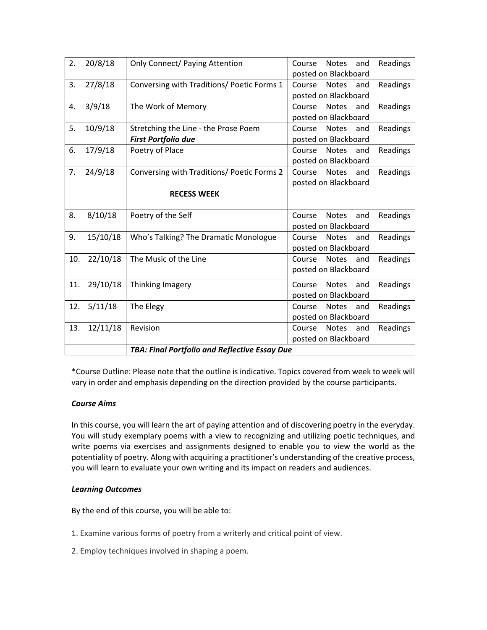| 2.  | 20/8/18  | <b>Only Connect/ Paying Attention</b>         | Readings<br>Course<br><b>Notes</b><br>and<br>posted on Blackboard |  |
|-----|----------|-----------------------------------------------|-------------------------------------------------------------------|--|
| 3.  | 27/8/18  | Conversing with Traditions/ Poetic Forms 1    | Course<br>Readings<br><b>Notes</b><br>and                         |  |
|     |          |                                               | posted on Blackboard                                              |  |
| 4.  | 3/9/18   | The Work of Memory                            | <b>Notes</b><br>Readings<br>Course<br>and                         |  |
|     |          |                                               | posted on Blackboard                                              |  |
| 5.  | 10/9/18  | Stretching the Line - the Prose Poem          | Course<br><b>Notes</b><br>Readings<br>and                         |  |
|     |          | <b>First Portfolio due</b>                    | posted on Blackboard                                              |  |
| 6.  | 17/9/18  | Poetry of Place                               | Readings<br>Course<br><b>Notes</b><br>and                         |  |
|     |          |                                               | posted on Blackboard                                              |  |
| 7.  | 24/9/18  | Conversing with Traditions/ Poetic Forms 2    | Readings<br>Course<br><b>Notes</b><br>and                         |  |
|     |          |                                               | posted on Blackboard                                              |  |
|     |          | <b>RECESS WEEK</b>                            |                                                                   |  |
|     |          |                                               |                                                                   |  |
| 8.  | 8/10/18  | Poetry of the Self                            | Course<br><b>Notes</b><br>and<br>Readings                         |  |
|     |          |                                               | posted on Blackboard                                              |  |
| 9.  | 15/10/18 | Who's Talking? The Dramatic Monologue         | Readings<br>Course<br><b>Notes</b><br>and                         |  |
|     |          |                                               | posted on Blackboard                                              |  |
| 10. | 22/10/18 | The Music of the Line                         | <b>Notes</b><br>Course<br>and<br>Readings                         |  |
|     |          |                                               | posted on Blackboard                                              |  |
| 11. | 29/10/18 | Thinking Imagery                              | Course<br><b>Notes</b><br>Readings<br>and                         |  |
|     |          |                                               | posted on Blackboard                                              |  |
| 12. | 5/11/18  | The Elegy                                     | Course<br><b>Notes</b><br>Readings<br>and                         |  |
|     |          |                                               | posted on Blackboard                                              |  |
| 13. | 12/11/18 | Revision                                      | Course<br>Readings<br><b>Notes</b><br>and                         |  |
|     |          |                                               | posted on Blackboard                                              |  |
|     |          | TBA: Final Portfolio and Reflective Essay Due |                                                                   |  |

\*Course Outline: Please note that the outline is indicative. Topics covered from week to week will vary in order and emphasis depending on the direction provided by the course participants.

# *Course Aims*

In this course, you will learn the art of paying attention and of discovering poetry in the everyday. You will study exemplary poems with a view to recognizing and utilizing poetic techniques, and write poems via exercises and assignments designed to enable you to view the world as the potentiality of poetry. Along with acquiring a practitioner's understanding of the creative process, you will learn to evaluate your own writing and its impact on readers and audiences.

# *Learning Outcomes*

By the end of this course, you will be able to:

- 1. Examine various forms of poetry from a writerly and critical point of view.
- 2. Employ techniques involved in shaping a poem.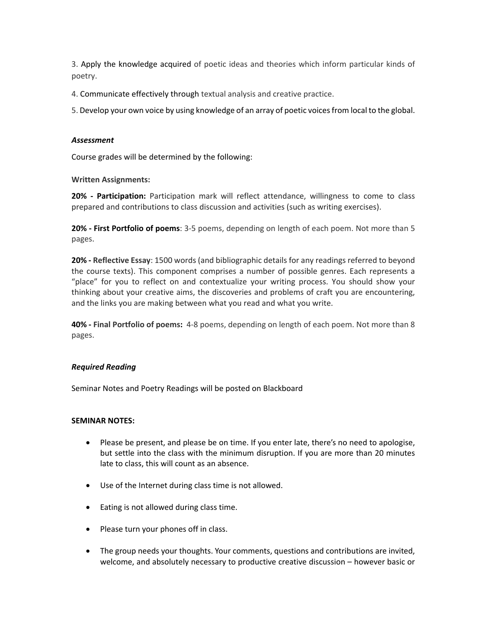3. Apply the knowledge acquired of poetic ideas and theories which inform particular kinds of poetry.

4. Communicate effectively through textual analysis and creative practice.

5. Develop your own voice by using knowledge of an array of poetic voices from local to the global.

### *Assessment*

Course grades will be determined by the following:

**Written Assignments:**

**20% - Participation:** Participation mark will reflect attendance, willingness to come to class prepared and contributions to class discussion and activities (such as writing exercises).

**20% - First Portfolio of poems**: 3-5 poems, depending on length of each poem. Not more than 5 pages.

**20% - Reflective Essay**: 1500 words (and bibliographic details for any readings referred to beyond the course texts). This component comprises a number of possible genres. Each represents a "place" for you to reflect on and contextualize your writing process. You should show your thinking about your creative aims, the discoveries and problems of craft you are encountering, and the links you are making between what you read and what you write.

**40% - Final Portfolio of poems:** 4-8 poems, depending on length of each poem. Not more than 8 pages.

#### *Required Reading*

Seminar Notes and Poetry Readings will be posted on Blackboard

## **SEMINAR NOTES:**

- Please be present, and please be on time. If you enter late, there's no need to apologise, but settle into the class with the minimum disruption. If you are more than 20 minutes late to class, this will count as an absence.
- Use of the Internet during class time is not allowed.
- Eating is not allowed during class time.
- Please turn your phones off in class.
- The group needs your thoughts. Your comments, questions and contributions are invited, welcome, and absolutely necessary to productive creative discussion – however basic or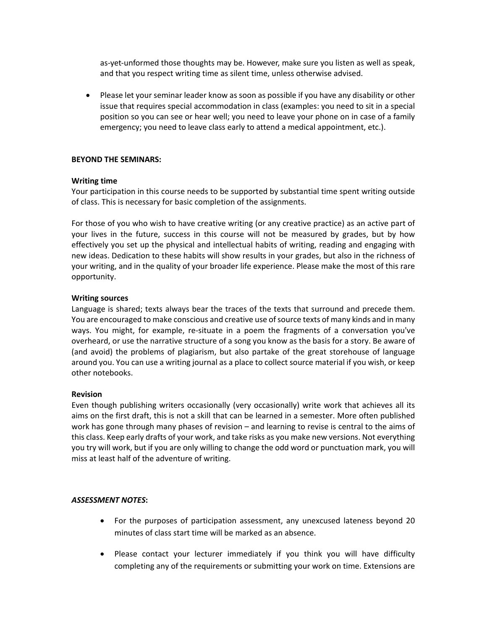as-yet-unformed those thoughts may be. However, make sure you listen as well as speak, and that you respect writing time as silent time, unless otherwise advised.

• Please let your seminar leader know as soon as possible if you have any disability or other issue that requires special accommodation in class (examples: you need to sit in a special position so you can see or hear well; you need to leave your phone on in case of a family emergency; you need to leave class early to attend a medical appointment, etc.).

## **BEYOND THE SEMINARS:**

### **Writing time**

Your participation in this course needs to be supported by substantial time spent writing outside of class. This is necessary for basic completion of the assignments.

For those of you who wish to have creative writing (or any creative practice) as an active part of your lives in the future, success in this course will not be measured by grades, but by how effectively you set up the physical and intellectual habits of writing, reading and engaging with new ideas. Dedication to these habits will show results in your grades, but also in the richness of your writing, and in the quality of your broader life experience. Please make the most of this rare opportunity.

### **Writing sources**

Language is shared; texts always bear the traces of the texts that surround and precede them. You are encouraged to make conscious and creative use of source texts of many kinds and in many ways. You might, for example, re-situate in a poem the fragments of a conversation you've overheard, or use the narrative structure of a song you know as the basis for a story. Be aware of (and avoid) the problems of plagiarism, but also partake of the great storehouse of language around you. You can use a writing journal as a place to collect source material if you wish, or keep other notebooks.

# **Revision**

Even though publishing writers occasionally (very occasionally) write work that achieves all its aims on the first draft, this is not a skill that can be learned in a semester. More often published work has gone through many phases of revision – and learning to revise is central to the aims of this class. Keep early drafts of your work, and take risks as you make new versions. Not everything you try will work, but if you are only willing to change the odd word or punctuation mark, you will miss at least half of the adventure of writing.

# *ASSESSMENT NOTES***:**

- For the purposes of participation assessment, any unexcused lateness beyond 20 minutes of class start time will be marked as an absence.
- Please contact your lecturer immediately if you think you will have difficulty completing any of the requirements or submitting your work on time. Extensions are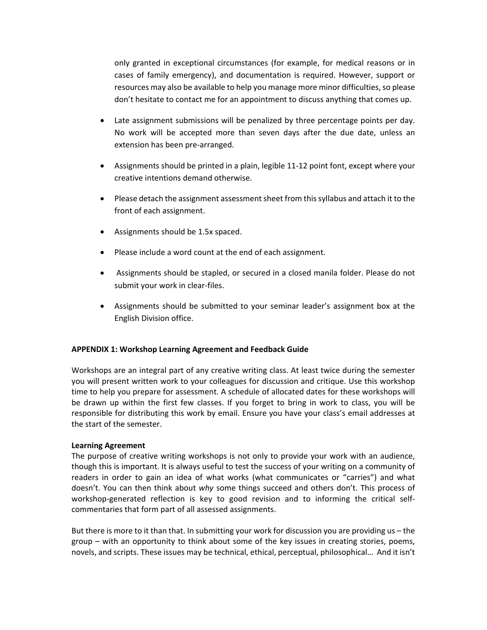only granted in exceptional circumstances (for example, for medical reasons or in cases of family emergency), and documentation is required. However, support or resources may also be available to help you manage more minor difficulties, so please don't hesitate to contact me for an appointment to discuss anything that comes up.

- Late assignment submissions will be penalized by three percentage points per day. No work will be accepted more than seven days after the due date, unless an extension has been pre-arranged.
- Assignments should be printed in a plain, legible 11-12 point font, except where your creative intentions demand otherwise.
- Please detach the assignment assessment sheet from this syllabus and attach it to the front of each assignment.
- Assignments should be 1.5x spaced.
- Please include a word count at the end of each assignment.
- Assignments should be stapled, or secured in a closed manila folder. Please do not submit your work in clear-files.
- Assignments should be submitted to your seminar leader's assignment box at the English Division office.

#### **APPENDIX 1: Workshop Learning Agreement and Feedback Guide**

Workshops are an integral part of any creative writing class. At least twice during the semester you will present written work to your colleagues for discussion and critique. Use this workshop time to help you prepare for assessment. A schedule of allocated dates for these workshops will be drawn up within the first few classes. If you forget to bring in work to class, you will be responsible for distributing this work by email. Ensure you have your class's email addresses at the start of the semester.

# **Learning Agreement**

The purpose of creative writing workshops is not only to provide your work with an audience, though this is important. It is always useful to test the success of your writing on a community of readers in order to gain an idea of what works (what communicates or "carries") and what doesn't. You can then think about *why* some things succeed and others don't. This process of workshop-generated reflection is key to good revision and to informing the critical selfcommentaries that form part of all assessed assignments.

But there is more to it than that. In submitting your work for discussion you are providing us – the group – with an opportunity to think about some of the key issues in creating stories, poems, novels, and scripts. These issues may be technical, ethical, perceptual, philosophical… And it isn't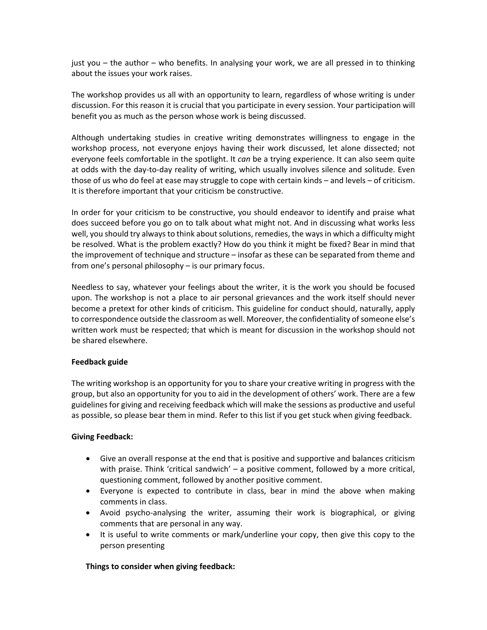just you – the author – who benefits. In analysing your work, we are all pressed in to thinking about the issues your work raises.

The workshop provides us all with an opportunity to learn, regardless of whose writing is under discussion. For this reason it is crucial that you participate in every session. Your participation will benefit you as much as the person whose work is being discussed.

Although undertaking studies in creative writing demonstrates willingness to engage in the workshop process, not everyone enjoys having their work discussed, let alone dissected; not everyone feels comfortable in the spotlight. It *can* be a trying experience. It can also seem quite at odds with the day-to-day reality of writing, which usually involves silence and solitude. Even those of us who do feel at ease may struggle to cope with certain kinds – and levels – of criticism. It is therefore important that your criticism be constructive.

In order for your criticism to be constructive, you should endeavor to identify and praise what does succeed before you go on to talk about what might not. And in discussing what works less well, you should try always to think about solutions, remedies, the ways in which a difficulty might be resolved. What is the problem exactly? How do you think it might be fixed? Bear in mind that the improvement of technique and structure – insofar as these can be separated from theme and from one's personal philosophy – is our primary focus.

Needless to say, whatever your feelings about the writer, it is the work you should be focused upon. The workshop is not a place to air personal grievances and the work itself should never become a pretext for other kinds of criticism. This guideline for conduct should, naturally, apply to correspondence outside the classroom as well. Moreover, the confidentiality of someone else's written work must be respected; that which is meant for discussion in the workshop should not be shared elsewhere.

# **Feedback guide**

The writing workshop is an opportunity for you to share your creative writing in progress with the group, but also an opportunity for you to aid in the development of others' work. There are a few guidelines for giving and receiving feedback which will make the sessions as productive and useful as possible, so please bear them in mind. Refer to this list if you get stuck when giving feedback.

#### **Giving Feedback:**

- Give an overall response at the end that is positive and supportive and balances criticism with praise. Think 'critical sandwich' – a positive comment, followed by a more critical, questioning comment, followed by another positive comment.
- Everyone is expected to contribute in class, bear in mind the above when making comments in class.
- Avoid psycho-analysing the writer, assuming their work is biographical, or giving comments that are personal in any way.
- It is useful to write comments or mark/underline your copy, then give this copy to the person presenting

# **Things to consider when giving feedback:**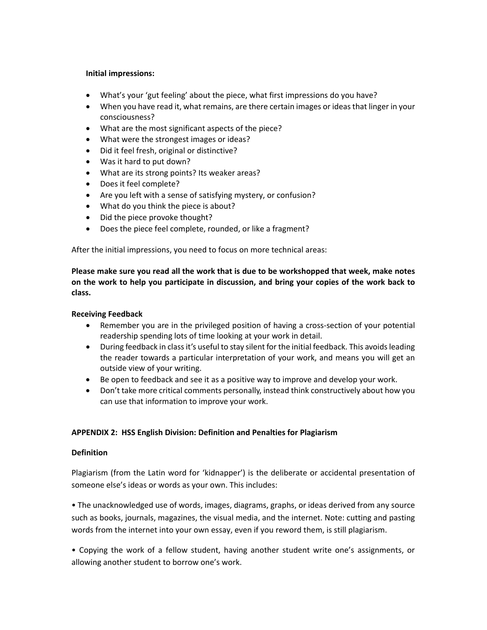## **Initial impressions:**

- What's your 'gut feeling' about the piece, what first impressions do you have?
- When you have read it, what remains, are there certain images or ideas that linger in your consciousness?
- What are the most significant aspects of the piece?
- What were the strongest images or ideas?
- Did it feel fresh, original or distinctive?
- Was it hard to put down?
- What are its strong points? Its weaker areas?
- Does it feel complete?
- Are you left with a sense of satisfying mystery, or confusion?
- What do you think the piece is about?
- Did the piece provoke thought?
- Does the piece feel complete, rounded, or like a fragment?

After the initial impressions, you need to focus on more technical areas:

**Please make sure you read all the work that is due to be workshopped that week, make notes on the work to help you participate in discussion, and bring your copies of the work back to class.** 

### **Receiving Feedback**

- Remember you are in the privileged position of having a cross-section of your potential readership spending lots of time looking at your work in detail.
- During feedback in class it's useful to stay silent for the initial feedback. This avoids leading the reader towards a particular interpretation of your work, and means you will get an outside view of your writing.
- Be open to feedback and see it as a positive way to improve and develop your work.
- Don't take more critical comments personally, instead think constructively about how you can use that information to improve your work.

# **APPENDIX 2: HSS English Division: Definition and Penalties for Plagiarism**

#### **Definition**

Plagiarism (from the Latin word for 'kidnapper') is the deliberate or accidental presentation of someone else's ideas or words as your own. This includes:

• The unacknowledged use of words, images, diagrams, graphs, or ideas derived from any source such as books, journals, magazines, the visual media, and the internet. Note: cutting and pasting words from the internet into your own essay, even if you reword them, is still plagiarism.

• Copying the work of a fellow student, having another student write one's assignments, or allowing another student to borrow one's work.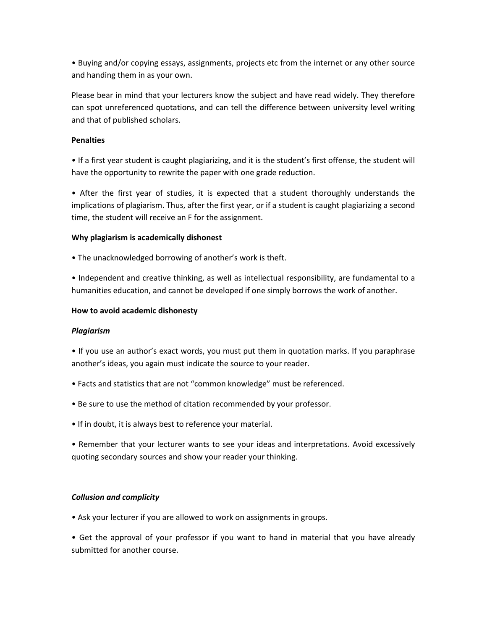• Buying and/or copying essays, assignments, projects etc from the internet or any other source and handing them in as your own.

Please bear in mind that your lecturers know the subject and have read widely. They therefore can spot unreferenced quotations, and can tell the difference between university level writing and that of published scholars.

# **Penalties**

• If a first year student is caught plagiarizing, and it is the student's first offense, the student will have the opportunity to rewrite the paper with one grade reduction.

• After the first year of studies, it is expected that a student thoroughly understands the implications of plagiarism. Thus, after the first year, or if a student is caught plagiarizing a second time, the student will receive an F for the assignment.

### **Why plagiarism is academically dishonest**

• The unacknowledged borrowing of another's work is theft.

• Independent and creative thinking, as well as intellectual responsibility, are fundamental to a humanities education, and cannot be developed if one simply borrows the work of another.

### **How to avoid academic dishonesty**

# *Plagiarism*

• If you use an author's exact words, you must put them in quotation marks. If you paraphrase another's ideas, you again must indicate the source to your reader.

- Facts and statistics that are not "common knowledge" must be referenced.
- Be sure to use the method of citation recommended by your professor.
- If in doubt, it is always best to reference your material.

• Remember that your lecturer wants to see your ideas and interpretations. Avoid excessively quoting secondary sources and show your reader your thinking.

# *Collusion and complicity*

• Ask your lecturer if you are allowed to work on assignments in groups.

• Get the approval of your professor if you want to hand in material that you have already submitted for another course.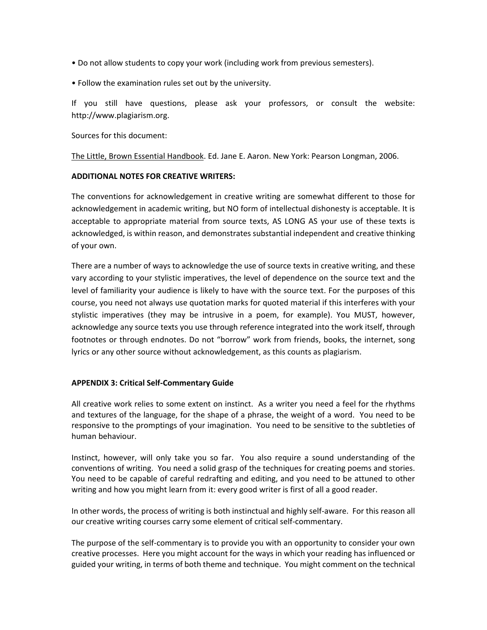- Do not allow students to copy your work (including work from previous semesters).
- Follow the examination rules set out by the university.

If you still have questions, please ask your professors, or consult the website: http://www.plagiarism.org.

Sources for this document:

The Little, Brown Essential Handbook. Ed. Jane E. Aaron. New York: Pearson Longman, 2006.

### **ADDITIONAL NOTES FOR CREATIVE WRITERS:**

The conventions for acknowledgement in creative writing are somewhat different to those for acknowledgement in academic writing, but NO form of intellectual dishonesty is acceptable. It is acceptable to appropriate material from source texts, AS LONG AS your use of these texts is acknowledged, is within reason, and demonstrates substantial independent and creative thinking of your own.

There are a number of ways to acknowledge the use of source texts in creative writing, and these vary according to your stylistic imperatives, the level of dependence on the source text and the level of familiarity your audience is likely to have with the source text. For the purposes of this course, you need not always use quotation marks for quoted material if this interferes with your stylistic imperatives (they may be intrusive in a poem, for example). You MUST, however, acknowledge any source texts you use through reference integrated into the work itself, through footnotes or through endnotes. Do not "borrow" work from friends, books, the internet, song lyrics or any other source without acknowledgement, as this counts as plagiarism.

# **APPENDIX 3: Critical Self-Commentary Guide**

All creative work relies to some extent on instinct. As a writer you need a feel for the rhythms and textures of the language, for the shape of a phrase, the weight of a word. You need to be responsive to the promptings of your imagination. You need to be sensitive to the subtleties of human behaviour.

Instinct, however, will only take you so far. You also require a sound understanding of the conventions of writing. You need a solid grasp of the techniques for creating poems and stories. You need to be capable of careful redrafting and editing, and you need to be attuned to other writing and how you might learn from it: every good writer is first of all a good reader.

In other words, the process of writing is both instinctual and highly self-aware. For this reason all our creative writing courses carry some element of critical self-commentary.

The purpose of the self-commentary is to provide you with an opportunity to consider your own creative processes. Here you might account for the ways in which your reading has influenced or guided your writing, in terms of both theme and technique. You might comment on the technical